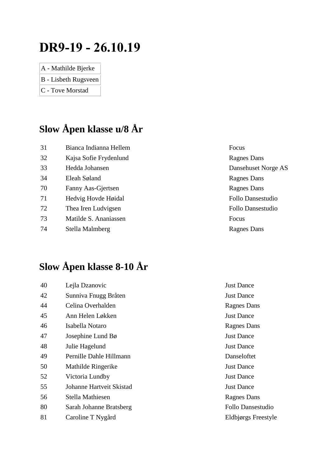# **DR9-19 - 26.10.19**

- A Mathilde Bjerke
- B Lisbeth Rugsveen
- C Tove Morstad

## **Slow Åpen klasse u/8 År**

| 31 | Bianca Indianna Hellem | Focus                    |
|----|------------------------|--------------------------|
| 32 | Kajsa Sofie Frydenlund | <b>Ragnes Dans</b>       |
| 33 | Hedda Johansen         | Dansehuset Norge AS      |
| 34 | Eleah Søland           | Ragnes Dans              |
| 70 | Fanny Aas-Gjertsen     | Ragnes Dans              |
| 71 | Hedvig Hovde Høidal    | <b>Follo Dansestudio</b> |
| 72 | Thea Iren Ludvigsen    | Follo Dansestudio        |
| 73 | Matilde S. Ananiassen  | Focus                    |

74 Stella Malmberg

### **Slow Åpen klasse 8-10 År**

| Lejla Dzanovic           | <b>Just Dance</b>        |
|--------------------------|--------------------------|
| Sunniva Fnugg Bråten     | <b>Just Dance</b>        |
| Celina Overhalden        | Ragnes Dans              |
| Ann Helen Løkken         | <b>Just Dance</b>        |
| Isabella Notaro          | <b>Ragnes Dans</b>       |
| Josephine Lund $B\phi$   | <b>Just Dance</b>        |
| Julie Hagelund           | <b>Just Dance</b>        |
| Pernille Dahle Hillmann  | Danseloftet              |
| Mathilde Ringerike       | <b>Just Dance</b>        |
| Victoria Lundby          | <b>Just Dance</b>        |
| Johanne Hartveit Skistad | <b>Just Dance</b>        |
| Stella Mathiesen         | <b>Ragnes Dans</b>       |
| Sarah Johanne Bratsberg  | <b>Follo Dansestudio</b> |
| Caroline T Nygård        | Eldbjørgs Freestyle      |
|                          |                          |

| Focus                    |
|--------------------------|
| <b>Ragnes Dans</b>       |
| Dansehuset Norge AS      |
| <b>Ragnes Dans</b>       |
| <b>Ragnes Dans</b>       |
| <b>Follo Dansestudio</b> |
| Follo Dansestudio        |
| Focus                    |
| <b>Ragnes Dans</b>       |
|                          |

| <b>Just Dance</b>   |
|---------------------|
| <b>Just Dance</b>   |
| <b>Ragnes Dans</b>  |
| <b>Just Dance</b>   |
| <b>Ragnes Dans</b>  |
| <b>Just Dance</b>   |
| <b>Just Dance</b>   |
| Danseloftet         |
| <b>Just Dance</b>   |
| <b>Just Dance</b>   |
| <b>Just Dance</b>   |
| <b>Ragnes Dans</b>  |
| Follo Dansestudio   |
| Eldbjørgs Freestyle |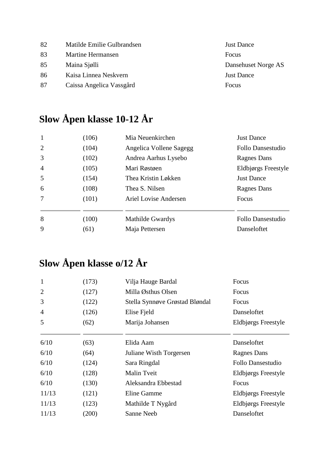Matilde Emilie Gulbrandsen Just Dance 83 Martine Hermansen Focus Maina Sjølli Dansehuset Norge AS Kaisa Linnea Neskvern Just Dance Caissa Angelica Vassgård Focus

## **Slow Åpen klasse 10-12 År**

| $\mathbf{1}$   | (106) | Mia Neuenkirchen        | <b>Just Dance</b>        |
|----------------|-------|-------------------------|--------------------------|
| 2              | (104) | Angelica Vollene Sagegg | <b>Follo Dansestudio</b> |
| 3              | (102) | Andrea Aarhus Lysebo    | <b>Ragnes Dans</b>       |
| $\overline{4}$ | (105) | Mari Røstøen            | Eldbjørgs Freestyle      |
| 5              | (154) | Thea Kristin Løkken     | <b>Just Dance</b>        |
| 6              | (108) | Thea S. Nilsen          | <b>Ragnes Dans</b>       |
| $\tau$         | (101) | Ariel Lovise Andersen   | Focus                    |
| 8              | (100) | Mathilde Gwardys        | Follo Dansestudio        |
| 9              | (61)  | Maja Pettersen          | Danseloftet              |

### **Slow Åpen klasse o/12 År**

| $\mathbf{1}$   | (173) | Vilja Hauge Bardal             | Focus                    |
|----------------|-------|--------------------------------|--------------------------|
| $\overline{2}$ | (127) | Milla Østhus Olsen             | Focus                    |
| 3              | (122) | Stella Synnøve Grøstad Bløndal | Focus                    |
| $\overline{4}$ | (126) | Elise Fjeld                    | Danseloftet              |
| 5              | (62)  | Marija Johansen                | Eldbjørgs Freestyle      |
| 6/10           | (63)  | Elida Aam                      | Danseloftet              |
| 6/10           | (64)  | Juliane Wisth Torgersen        | <b>Ragnes Dans</b>       |
| 6/10           | (124) | Sara Ringdal                   | <b>Follo Dansestudio</b> |
| 6/10           | (128) | Malin Tveit                    | Eldbjørgs Freestyle      |
| 6/10           | (130) | Aleksandra Ebbestad            | Focus                    |
| 11/13          | (121) | Eline Gamme                    | Eldbjørgs Freestyle      |
| 11/13          | (123) | Mathilde T Nygård              | Eldbjørgs Freestyle      |
| 11/13          | (200) | Sanne Neeb                     | Danseloftet              |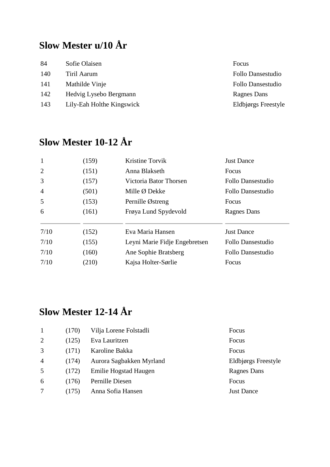# **Slow Mester u/10 År**

| 84  | Sofie Olaisen             | Focus                    |
|-----|---------------------------|--------------------------|
| 140 | Tiril Aarum               | Follo Dansestudio        |
| 141 | Mathilde Vinje            | <b>Follo Dansestudio</b> |
| 142 | Hedvig Lysebo Bergmann    | Ragnes Dans              |
| 143 | Lily-Eah Holthe Kingswick | Eldbjørgs Freestyle      |

# **Slow Mester 10-12 År**

| (159) | Kristine Torvik               | <b>Just Dance</b>        |
|-------|-------------------------------|--------------------------|
| (151) | Anna Blakseth                 | Focus                    |
| (157) | Victoria Bator Thorsen        | Follo Dansestudio        |
| (501) | Mille Ø Dekke                 | Follo Dansestudio        |
| (153) | Pernille Østreng              | Focus                    |
| (161) | Frøya Lund Spydevold          | <b>Ragnes Dans</b>       |
| (152) | Eva Maria Hansen              | <b>Just Dance</b>        |
| (155) | Leyni Marie Fidje Engebretsen | Follo Dansestudio        |
| (160) | Ane Sophie Bratsberg          | <b>Follo Dansestudio</b> |
| (210) | Kajsa Holter-Sørlie           | Focus                    |
|       |                               |                          |

## **Slow Mester 12-14 År**

|                | (170) | Vilja Lorene Folstadli   | Focus               |
|----------------|-------|--------------------------|---------------------|
| 2              | (125) | Eva Lauritzen            | Focus               |
| 3              | (171) | Karoline Bakka           | Focus               |
| $\overline{4}$ | (174) | Aurora Sagbakken Myrland | Eldbjørgs Freestyle |
| 5              | (172) | Emilie Hogstad Haugen    | <b>Ragnes Dans</b>  |
| 6              | (176) | Pernille Diesen          | Focus               |
|                | (175) | Anna Sofia Hansen        | <b>Just Dance</b>   |
|                |       |                          |                     |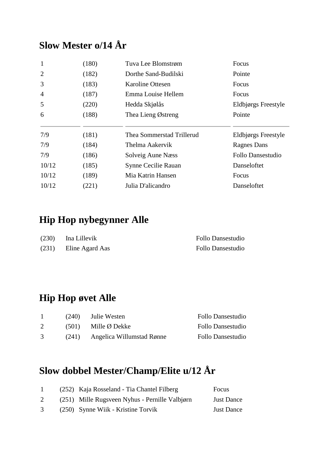#### **Slow Mester o/14 År**

| $\mathbf{1}$   | (180) | Tuva Lee Blomstrøm        | Focus                    |
|----------------|-------|---------------------------|--------------------------|
| $\overline{2}$ | (182) | Dorthe Sand-Budilski      | Pointe                   |
| 3              | (183) | <b>Karoline Ottesen</b>   | Focus                    |
| $\overline{4}$ | (187) | Emma Louise Hellem        | Focus                    |
| 5              | (220) | Hedda Skjølås             | Eldbjørgs Freestyle      |
| 6              | (188) | Thea Lieng Østreng        | Pointe                   |
|                |       |                           |                          |
| 7/9            | (181) | Thea Sommerstad Trillerud | Eldbjørgs Freestyle      |
| 7/9            | (184) | Thelma Aakervik           | <b>Ragnes Dans</b>       |
| 7/9            | (186) | Solveig Aune Næss         | <b>Follo Dansestudio</b> |
| 10/12          | (185) | Synne Cecilie Rauan       | Danseloftet              |
| 10/12          | (189) | Mia Katrin Hansen         | Focus                    |

#### **Hip Hop nybegynner Alle**

| (230) | Ina Lillevik    | Follo Dansestudio |
|-------|-----------------|-------------------|
| (231) | Eline Agard Aas | Follo Dansestudio |

#### **Hip Hop øvet Alle**

|   | (240) | Julie Westen              | Follo Dansestudio |
|---|-------|---------------------------|-------------------|
|   |       | $(501)$ Mille Ø Dekke     | Follo Dansestudio |
| 3 | (241) | Angelica Willumstad Rønne | Follo Dansestudio |

### **Slow dobbel Mester/Champ/Elite u/12 År**

| $\mathbf{1}$ | (252) Kaja Rosseland - Tia Chantel Filberg     | Focus             |
|--------------|------------------------------------------------|-------------------|
| 2            | (251) Mille Rugsveen Nyhus - Pernille Valbjørn | <b>Just Dance</b> |
| 3            | (250) Synne Wiik - Kristine Torvik             | <b>Just Dance</b> |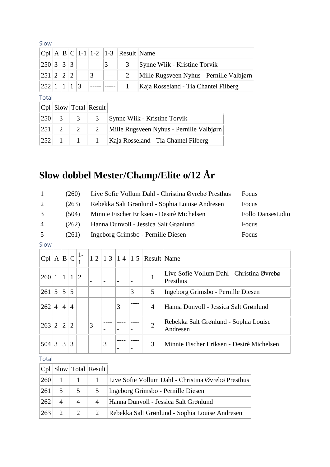| .31U        |  |  |   |                |                                      |                                          |
|-------------|--|--|---|----------------|--------------------------------------|------------------------------------------|
|             |  |  |   |                | $ Cpl A B C 1-1 1-2 1-3 Result Name$ |                                          |
| 250 3 3 3   |  |  |   | 3 <sup>7</sup> | 3                                    | Synne Wiik - Kristine Torvik             |
| 251 2 2 2   |  |  | 3 |                |                                      | Mille Rugsveen Nyhus - Pernille Valbjørn |
| 252 1 1 1 3 |  |  |   |                |                                      | Kaja Rosseland - Tia Chantel Filberg     |
| — 1 I       |  |  |   |                |                                      |                                          |

Total

|  | $ Cpl $ Slow Total Result |                                                              |
|--|---------------------------|--------------------------------------------------------------|
|  |                           | $ 250 $ 3   3   3   Synne Wiik - Kristine Torvik             |
|  |                           | $ 251 $ 2   2   2   Mille Rugsveen Nyhus - Pernille Valbjørn |
|  |                           | $ 252 $ 1   1   Kaja Rosseland - Tia Chantel Filberg         |

# **Slow dobbel Mester/Champ/Elite o/12 År**

| Rebekka Salt Grønlund - Sophia Louise Andresen<br>2<br>Focus<br>(263)        |  |
|------------------------------------------------------------------------------|--|
|                                                                              |  |
| 3<br>Minnie Fischer Eriksen - Desirè Michelsen<br>Follo Dansestudio<br>(504) |  |
| $\overline{4}$<br>Hanna Dunvoll - Jessica Salt Grønlund<br>Focus<br>(262)    |  |
| 5<br>Ingeborg Grimsbo - Pernille Diesen<br>Focus<br>(261)                    |  |

#### Slow

| Cpl | A B C |                |                | 1 -            |   |                          |                          |   | $ 1-2 1-3 1-4 1-5 $ Result Name |                                                       |
|-----|-------|----------------|----------------|----------------|---|--------------------------|--------------------------|---|---------------------------------|-------------------------------------------------------|
| 260 |       |                |                | $\overline{2}$ |   | $\overline{\phantom{0}}$ | $\overline{\phantom{a}}$ |   | 1                               | Live Sofie Vollum Dahl - Christina Øvrebø<br>Presthus |
| 261 | 5     | 5              | 5              |                |   |                          |                          | 3 | 5                               | Ingeborg Grimsbo - Pernille Diesen                    |
| 262 | 4     | $\overline{4}$ | 4              |                |   |                          | 3                        |   | $\overline{4}$                  | Hanna Dunvoll - Jessica Salt Grønlund                 |
| 263 | 2     | $\overline{2}$ | $\overline{2}$ |                | 3 |                          |                          |   | $\overline{2}$                  | Rebekka Salt Grønlund - Sophia Louise<br>Andresen     |
| 504 | 3     | 3              | 3              |                |   | 3                        |                          |   | 3                               | Minnie Fischer Eriksen - Desirè Michelsen             |

Total

|     |                          |                | $ Cpl $ Slow Total Result |                                                    |
|-----|--------------------------|----------------|---------------------------|----------------------------------------------------|
| 260 |                          |                |                           | Live Sofie Vollum Dahl - Christina Øvrebø Presthus |
| 261 | 5                        | 5              | 5                         | Ingeborg Grimsbo - Pernille Diesen                 |
| 262 | $\overline{\mathcal{A}}$ | $\overline{A}$ | $\overline{4}$            | Hanna Dunvoll - Jessica Salt Grønlund              |
| 263 |                          | 2              |                           | Rebekka Salt Grønlund - Sophia Louise Andresen     |

Slow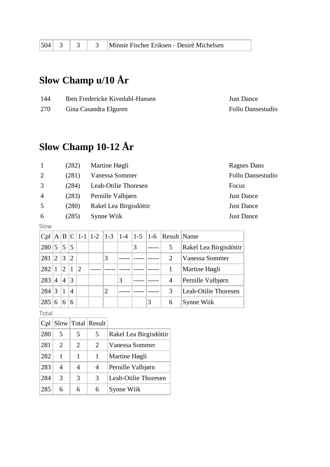#### **Slow Champ u/10 År**

| 144 | Iben Fredericke Kivedahl-Hansen | <b>Just Dance</b> |
|-----|---------------------------------|-------------------|
| 270 | Gina Casandra Elguren           | Follo Dansestudio |

#### **Slow Champ 10-12 År**

| $\overline{1}$ | (282) | Martine Høgli          | Ragnes Dai        |
|----------------|-------|------------------------|-------------------|
| 2              | (281) | Vanessa Sommer         | Follo Dans        |
| 3              | (284) | Leah-Otilie Thoresen   | Focus             |
| $\overline{4}$ | (283) | Pernille Valbjørn      | <b>Just Dance</b> |
| 5              | (280) | Rakel Lea Birgisdóttir | <b>Just Dance</b> |
| 6              | (285) | Synne Wiik             | <b>Just Dance</b> |

Slow

| Cpl |                |                |                |                |                |   |   |   | $A \mid B \mid C \mid 1-1 \mid 1-2 \mid 1-3 \mid 1-4 \mid 1-5 \mid 1-6 \mid$ Result Name |                        |
|-----|----------------|----------------|----------------|----------------|----------------|---|---|---|------------------------------------------------------------------------------------------|------------------------|
| 280 | 5              | 5              | 5              |                |                |   | 3 |   | 5                                                                                        | Rakel Lea Birgisdóttir |
| 281 | $\overline{2}$ | 3              | $\overline{2}$ |                | 3              |   |   |   | $\mathcal{D}_{\cdot}$                                                                    | Vanessa Sommer         |
| 282 |                | $\overline{2}$ |                | $\overline{2}$ |                |   |   |   |                                                                                          | Martine Høgli          |
| 283 | 4              | $\overline{4}$ | 3              |                |                | 3 |   |   | 4                                                                                        | Pernille Valbjørn      |
| 284 | 3              | $\mathbf{1}$   | $\overline{4}$ |                | $\overline{2}$ |   |   |   | 3                                                                                        | Leah-Otilie Thoresen   |
| 285 | 6              | 6              | 6              |                |                |   |   | 3 | 6                                                                                        | Synne Wiik             |

Total

| Cpl |                       |   | Slow   Total   Result       |                        |
|-----|-----------------------|---|-----------------------------|------------------------|
| 280 | 5                     | 5 | 5                           | Rakel Lea Birgisdóttir |
| 281 | $\mathcal{D}_{\cdot}$ | 2 | $\mathcal{D}_{\mathcal{L}}$ | Vanessa Sommer         |
| 282 | 1                     |   | 1                           | Martine Høgli          |
| 283 | 4                     | 4 | 4                           | Pernille Valbjørn      |
| 284 | 3                     | 3 | 3                           | Leah-Otilie Thoresen   |
| 285 | 6                     | 6 | 6                           | Synne Wiik             |

Ragnes Dans Follo Dansestudio **Just Dance** Just Dance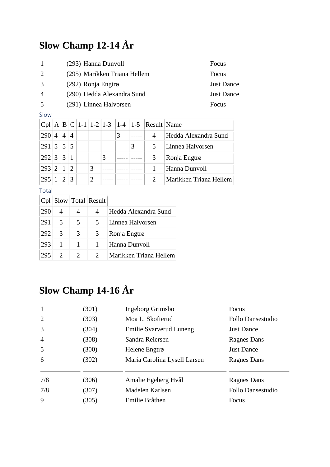# **Slow Champ 12-14 År**

| -1             | (293) Hanna Dunvoll          | Focus             |
|----------------|------------------------------|-------------------|
| 2              | (295) Marikken Triana Hellem | Focus             |
| 3              | $(292)$ Ronja Engtrø         | <b>Just Dance</b> |
| $\overline{A}$ | (290) Hedda Alexandra Sund   | <b>Just Dance</b> |
| 5              | (291) Linnea Halvorsen       | <b>Focus</b>      |

Slow

|                            |                       |                 |                |                |   |   | Cpl   A   B   C   1-1   1-2   1-3   1-4   1-5   Result   Name |                        |
|----------------------------|-----------------------|-----------------|----------------|----------------|---|---|---------------------------------------------------------------|------------------------|
| 290                        | 4                     | $\overline{4}$  | $\overline{4}$ |                |   | 3 | 4                                                             | Hedda Alexandra Sund   |
| $291 \,   5 \,   5 \,   5$ |                       |                 |                |                |   |   | 5                                                             | Linnea Halvorsen       |
| 292 3                      |                       | $\vert 3 \vert$ |                |                | 3 |   | 3                                                             | Ronja Engtrø           |
| 293                        | $\mathcal{D}_{\cdot}$ |                 | $\mathcal{D}$  | 3              |   |   |                                                               | Hanna Dunvoll          |
| 295                        |                       |                 | 3              | $\overline{2}$ |   |   |                                                               | Marikken Triana Hellem |

Total

| Cpl |                             |                             | Slow   Total   Result       |                        |
|-----|-----------------------------|-----------------------------|-----------------------------|------------------------|
| 290 | 4                           |                             |                             | Hedda Alexandra Sund   |
| 291 | 5                           | 5                           | 5                           | Linnea Halvorsen       |
| 292 | 3                           | 3                           | 3                           | Ronja Engtrø           |
| 293 | 1                           |                             |                             | Hanna Dunvoll          |
| 295 | $\mathcal{D}_{\mathcal{L}}$ | $\mathcal{D}_{\mathcal{L}}$ | $\mathcal{D}_{\mathcal{L}}$ | Marikken Triana Hellem |

# **Slow Champ 14-16 År**

| $\mathbf{1}$   | (301) | Ingeborg Grimsbo               | Focus              |
|----------------|-------|--------------------------------|--------------------|
| 2              | (303) | Moa L. Skofterud               | Follo Dansestudio  |
| 3              | (304) | <b>Emilie Svarverud Luneng</b> | <b>Just Dance</b>  |
| $\overline{4}$ | (308) | Sandra Reiersen                | <b>Ragnes Dans</b> |
| 5              | (300) | Helene Engtrø                  | <b>Just Dance</b>  |
| 6              | (302) | Maria Carolina Lysell Larsen   | <b>Ragnes Dans</b> |
|                |       |                                |                    |
| 7/8            | (306) | Amalie Egeberg Hvål            | Ragnes Dans        |
| 7/8            | (307) | Madelen Karlsen                | Follo Dansestudio  |
| 9              | (305) | Emilie Bråthen                 | Focus              |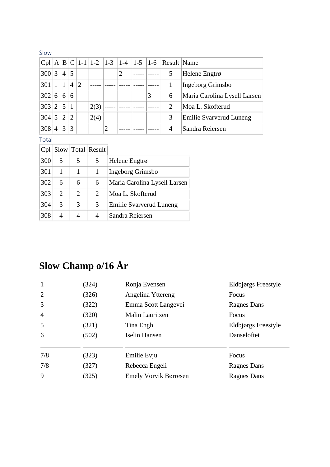#### Slow

| Cpl   |                 | A B            |                |                |      |                |   |   | $ C $ 1-1   1-2   1-3   1-4   1-5   1-6   Result   Name |                                |
|-------|-----------------|----------------|----------------|----------------|------|----------------|---|---|---------------------------------------------------------|--------------------------------|
| 300 3 |                 | 4              | 5              |                |      |                | 2 |   | 5                                                       | Helene Engtrø                  |
| 301   |                 |                | $\overline{4}$ | $\overline{2}$ |      |                |   |   |                                                         | Ingeborg Grimsbo               |
| 302   | 6               | 6              | 6              |                |      |                |   | 3 | 6                                                       | Maria Carolina Lysell Larsen   |
| 303   | $\vert 2 \vert$ | 5              | $\mathbf{1}$   |                | 2(3) |                |   |   | 2                                                       | Moa L. Skofterud               |
| 304   | 5               | $\overline{2}$ | $\overline{2}$ |                | 2(4) |                |   |   | 3                                                       | <b>Emilie Svarverud Luneng</b> |
| 308   | 4               | 3              | 3              |                |      | $\overline{2}$ |   |   | 4                                                       | Sandra Reiersen                |

Total

| Cpl |                             |                             | Slow   Total   Result |                              |
|-----|-----------------------------|-----------------------------|-----------------------|------------------------------|
| 300 | 5                           | 5                           | 5                     | Helene Engtrø                |
| 301 | 1                           | 1                           | 1                     | Ingeborg Grimsbo             |
| 302 | 6                           | 6                           | 6                     | Maria Carolina Lysell Larsen |
| 303 | $\mathcal{D}_{\mathcal{L}}$ | $\mathcal{D}_{\mathcal{L}}$ | 2                     | Moa L. Skofterud             |
| 304 | 3                           | 3                           | 3                     | Emilie Svarverud Luneng      |
| 308 | 4                           | 4                           | 4                     | Sandra Reiersen              |

# **Slow Champ o/16 År**

| $\mathbf{1}$   | (324) | Ronja Evensen                | Eldbjørgs Freestyle |
|----------------|-------|------------------------------|---------------------|
| 2              | (326) | Angelina Yttereng            | Focus               |
| 3              | (322) | Emma Scott Langevei          | Ragnes Dans         |
| $\overline{4}$ | (320) | Malin Lauritzen              | Focus               |
| 5              | (321) | Tina Engh                    | Eldbjørgs Freestyle |
| 6              | (502) | Iselin Hansen                | Danseloftet         |
|                |       |                              |                     |
| 7/8            | (323) | Emilie Evju                  | Focus               |
| 7/8            | (327) | Rebecca Engeli               | <b>Ragnes Dans</b>  |
| 9              | (325) | <b>Emely Vorvik Børresen</b> | <b>Ragnes Dans</b>  |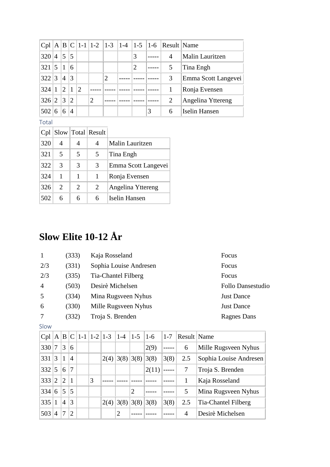| Cpl |                |                |                |                |                |                |                |   | A  B  C   1-1   1-2   1-3   1-4   1-5   1-6   Result   Name |                      |
|-----|----------------|----------------|----------------|----------------|----------------|----------------|----------------|---|-------------------------------------------------------------|----------------------|
| 320 | 4              | 5              | 5              |                |                |                | 3              |   | 4                                                           | Malin Lauritzen      |
| 321 | 5              | $\vert$ 1      | 6              |                |                |                | $\overline{2}$ |   |                                                             | Tina Engh            |
| 322 | 3              | $\overline{4}$ | 3              |                |                | $\overline{2}$ |                |   | 3                                                           | Emma Scott Langevei  |
| 324 |                | $\overline{2}$ |                | $\overline{2}$ |                |                |                |   |                                                             | Ronja Evensen        |
| 326 | $\overline{2}$ | 3              | $\overline{2}$ |                | $\overline{2}$ |                |                |   | $\overline{2}$                                              | Angelina Yttereng    |
| 502 | 6              | 6              | $\overline{4}$ |                |                |                |                | 3 | 6                                                           | <b>Iselin Hansen</b> |

#### Total

| Cpl |                       |   | Slow   Total   Result |                     |
|-----|-----------------------|---|-----------------------|---------------------|
| 320 | 4                     | 4 |                       | Malin Lauritzen     |
| 321 | 5                     | 5 | 5                     | Tina Engh           |
| 322 | 3                     | 3 | 3                     | Emma Scott Langevei |
| 324 | 1                     |   |                       | Ronja Evensen       |
| 326 | $\mathcal{D}_{\cdot}$ | 2 | 2                     | Angelina Yttereng   |
| 502 | 6                     | 6 | 6                     | Iselin Hansen       |

# **Slow Elite 10-12 År**

|     | (333) | Kaja Rosseland         | Focus              |
|-----|-------|------------------------|--------------------|
| 2/3 | (331) | Sophia Louise Andresen | Focus              |
| 2/3 | (335) | Tia-Chantel Filberg    | Focus              |
| 4   | (503) | Desirè Michelsen       | Follo Dansestudio  |
| 5   | (334) | Mina Rugsveen Nyhus    | <b>Just Dance</b>  |
| 6   | (330) | Mille Rugsveen Nyhus   | <b>Just Dance</b>  |
|     | (332) | Troja S. Brenden       | <b>Ragnes Dans</b> |
|     |       |                        |                    |

| M.<br>×<br>٠ | I |
|--------------|---|
|              |   |

| Cpl | A B |                |                |   | $ C $ 1-1   1-2   1-3   1-4 |      | $ 1-5 $        | $ 1-6 $ | $ 1-7 $ | Result Name |                        |
|-----|-----|----------------|----------------|---|-----------------------------|------|----------------|---------|---------|-------------|------------------------|
| 330 | 7   | 3              | 6              |   |                             |      |                | 2(9)    |         | 6           | Mille Rugsveen Nyhus   |
| 331 | 3   | 1              | $\overline{4}$ |   | 2(4)                        | 3(8) | 3(8)           | 3(8)    | 3(8)    | 2.5         | Sophia Louise Andresen |
| 332 | 5   | 6              | $\overline{7}$ |   |                             |      |                | 2(11)   |         | 7           | Troja S. Brenden       |
| 333 | 2   | $\overline{2}$ | $\mathbf{1}$   | 3 |                             |      |                |         |         |             | Kaja Rosseland         |
| 334 | 6   | 5              | 5              |   |                             |      | $\overline{2}$ |         |         | 5           | Mina Rugsveen Nyhus    |
| 335 |     | $\overline{4}$ | 3              |   | 2(4)                        | 3(8) | 3(8)           | 3(8)    | 3(8)    | 2.5         | Tia-Chantel Filberg    |
| 503 | 4   | 7              | $\overline{2}$ |   |                             | 2    |                |         |         | 4           | Desirè Michelsen       |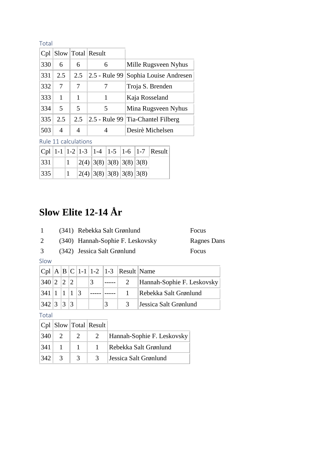| TOLdI |      |     |               |                                   |
|-------|------|-----|---------------|-----------------------------------|
| Cpl   | Slow |     | Total Result  |                                   |
| 330   | 6    | 6   | 6             | Mille Rugsveen Nyhus              |
| 331   | 2.5  | 2.5 | 2.5 - Rule 99 | Sophia Louise Andresen            |
| 332   | 7    | 7   | 7             | Troja S. Brenden                  |
| 333   | 1    | 1   | 1             | Kaja Rosseland                    |
| 334   | 5    | 5   | 5             | Mina Rugsveen Nyhus               |
| 335   | 2.5  | 2.5 |               | 2.5 - Rule 99 Tia-Chantel Filberg |
| 503   | 4    | 4   | 4             | Desirè Michelsen                  |

Rule 11 calculations

|      |  |  |                          | $ Cpl $ 1-1   1-2   1-3   1-4   1-5   1-6   1-7   Result |
|------|--|--|--------------------------|----------------------------------------------------------|
| 1331 |  |  | 2(4) 3(8) 3(8) 3(8) 3(8) |                                                          |
| 1335 |  |  | 2(4) 3(8) 3(8) 3(8) 3(8) |                                                          |

# **Slow Elite 12-14 År**

|   | (341) Rebekka Salt Grønlund      | Focus       |
|---|----------------------------------|-------------|
| 2 | (340) Hannah-Sophie F. Leskovsky | Ragnes Dans |



3 (342) Jessica Salt Grønlund Focus

Slow

|                            |  |             |  | $ Cpl A B C 1-1 1-2 1-3 $ Result Name |                            |
|----------------------------|--|-------------|--|---------------------------------------|----------------------------|
| $340$ 2 2 2                |  |             |  |                                       | Hannah-Sophie F. Leskovsky |
| $341 \mid 1 \mid 1 \mid 3$ |  |             |  |                                       | Rebekka Salt Grønlund      |
| $342$ 3 3                  |  | $ 3\rangle$ |  | $\mathcal{R}$                         | Jessica Salt Grønlund      |

Total

|           |                |                | $ Cpl $ Slow $ Total $ Result |                            |
|-----------|----------------|----------------|-------------------------------|----------------------------|
| $ 340 $ 2 |                | $2^+$          | 2                             | Hannah-Sophie F. Leskovsky |
| 341       |                |                |                               | Rebekka Salt Grønlund      |
| 342       | $\overline{3}$ | $\overline{3}$ | 3                             | Jessica Salt Grønlund      |

Total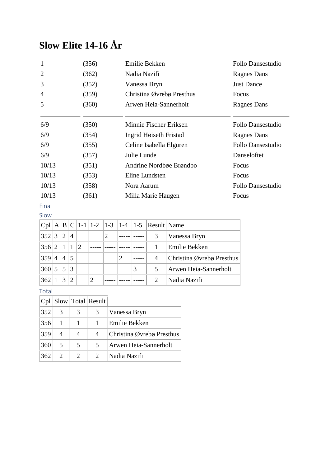# **Slow Elite 14-16 År**

| $\mathbf{1}$   | (356) | Emilie Bekken             | Follo Dansestudio        |
|----------------|-------|---------------------------|--------------------------|
| $\overline{2}$ | (362) | Nadia Nazifi              | Ragnes Dans              |
| 3              | (352) | Vanessa Bryn              | <b>Just Dance</b>        |
| 4              | (359) | Christina Øvrebø Presthus | Focus                    |
| 5              | (360) | Arwen Heia-Sannerholt     | Ragnes Dans              |
|                |       |                           |                          |
| 6/9            | (350) | Minnie Fischer Eriksen    | Follo Dansestudio        |
| 6/9            | (354) | Ingrid Høiseth Fristad    | Ragnes Dans              |
| 6/9            | (355) | Celine Isabella Elguren   | <b>Follo Dansestudio</b> |
| 6/9            | (357) | Julie Lunde               | Danseloftet              |
| 10/13          | (351) | Andrine Nordbøe Brøndbo   | Focus                    |
| 10/13          | (353) | Eline Lundsten            | Focus                    |
| 10/13          | (358) | Nora Aarum                | <b>Follo Dansestudio</b> |
| 10/13          | (361) | Milla Marie Haugen        | Focus                    |

Final

|       |   |                |                             |               |   |   |   |   | Cpl   A   B   C   1-1   1-2   1-3   1-4   1-5   Result   Name |                           |
|-------|---|----------------|-----------------------------|---------------|---|---|---|---|---------------------------------------------------------------|---------------------------|
| 352 3 |   | 12             | 4                           |               |   | 2 |   |   | 3                                                             | Vanessa Bryn              |
| 356 2 |   | $\vert$ 1      | $\mathbf{1}$                | $\mathcal{D}$ |   |   |   |   |                                                               | Emilie Bekken             |
| 359   | 4 | $\overline{4}$ | 15                          |               |   |   | 2 |   | 4                                                             | Christina Øvrebø Presthus |
| 360 5 |   | 5              | $\vert$ 3                   |               |   |   |   | 3 | 5                                                             | Arwen Heia-Sannerholt     |
| 362   |   | 3              | $\mathcal{D}_{\mathcal{L}}$ |               | 2 |   |   |   | $\mathcal{D}_{\mathcal{L}}$                                   | Nadia Nazifi              |

Total

|     |                       |                             | Cpl Slow Total Result |                           |
|-----|-----------------------|-----------------------------|-----------------------|---------------------------|
| 352 | 3                     | 3                           | 3                     | Vanessa Bryn              |
| 356 | -1                    |                             |                       | Emilie Bekken             |
| 359 | 4                     | 4                           | 4                     | Christina Øvrebø Presthus |
| 360 | 5                     | 5                           | 5                     | Arwen Heia-Sannerholt     |
| 362 | $\mathcal{D}_{\cdot}$ | $\mathcal{D}_{\mathcal{L}}$ |                       | Nadia Nazifi              |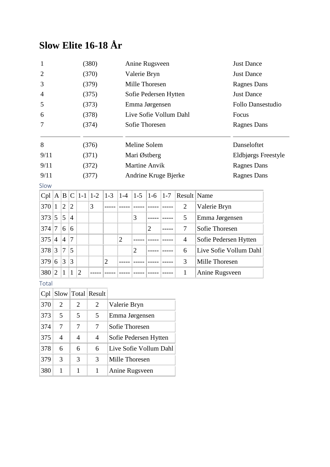## **Slow Elite 16-18 År**

| $\mathbf{1}$    |                |                        |                |                        | (380)          |                |                | Anine Rugsveen        |                |             |                        |                        |                     |  |
|-----------------|----------------|------------------------|----------------|------------------------|----------------|----------------|----------------|-----------------------|----------------|-------------|------------------------|------------------------|---------------------|--|
| $\overline{2}$  |                |                        |                |                        | (370)          |                |                | Valerie Bryn          |                |             | <b>Just Dance</b>      |                        |                     |  |
| 3               |                |                        |                |                        | (379)          |                |                | Mille Thoresen        |                |             | <b>Ragnes Dans</b>     |                        |                     |  |
| $\overline{4}$  |                |                        |                |                        | (375)          |                |                | Sofie Pedersen Hytten |                |             | <b>Just Dance</b>      |                        |                     |  |
| 5               |                |                        |                |                        | (373)          |                |                | Emma Jørgensen        |                |             |                        | Follo Dansestudio      |                     |  |
| 6               |                |                        |                |                        | (378)          |                |                |                       |                |             | Live Sofie Vollum Dahl |                        | Focus               |  |
| 7               |                |                        |                |                        | (374)          |                |                | Sofie Thoresen        |                |             |                        |                        | <b>Ragnes Dans</b>  |  |
| 8               |                |                        |                |                        | (376)          |                |                | Meline Solem          |                |             |                        |                        | Danseloftet         |  |
| 9/11            |                |                        |                |                        | (371)          |                |                | Mari Østberg          |                |             |                        |                        | Eldbjørgs Freestyle |  |
| 9/11            |                |                        |                |                        | (372)          |                |                | Martine Anvik         |                |             |                        |                        | <b>Ragnes Dans</b>  |  |
| 9/11            |                |                        |                |                        | (377)          |                |                | Andrine Kruge Bjerke  |                |             |                        |                        | <b>Ragnes Dans</b>  |  |
| Slow            |                |                        |                |                        |                |                |                |                       |                |             |                        |                        |                     |  |
| Cpl  A B        |                |                        | $\mathsf{C}$   |                        | $1-1$   $1-2$  | $1-3$          | $1-4$          | $1 - 5$               | $1-6$          | $1 - 7$     | Result Name            |                        |                     |  |
| 370             | $\mathbf{1}$   | $\overline{2}$         | $\overline{2}$ |                        | 3              |                |                |                       |                | $- - - - -$ | $\overline{2}$         | Valerie Bryn           |                     |  |
| 373             | 5              | 5                      | $\overline{4}$ |                        |                |                |                | 3                     |                | -----       | 5                      | Emma Jørgensen         |                     |  |
| 374             | $\tau$         | 6                      | 6              |                        |                |                |                |                       | $\overline{2}$ |             | 7                      | Sofie Thoresen         |                     |  |
| 375             | $\overline{4}$ | $\overline{4}$         | 7              |                        |                |                | $\overline{2}$ |                       |                |             | $\overline{4}$         | Sofie Pedersen Hytten  |                     |  |
| 378 3           |                | 7                      | 5              |                        |                |                |                | $\overline{2}$        |                |             | 6                      | Live Sofie Vollum Dahl |                     |  |
| 379             | 6              | 3                      | 3              |                        |                | $\overline{2}$ |                |                       |                |             | 3                      | Mille Thoresen         |                     |  |
| 380             | $\overline{2}$ | $\mathbf{1}$           | 1              | $\mathfrak{2}$         |                |                |                |                       |                |             | $\mathbf{1}$           | Anine Rugsveen         |                     |  |
| Total           |                |                        |                |                        |                |                |                |                       |                |             |                        |                        |                     |  |
| $Cpl$ Slow      |                |                        |                |                        | Total Result   |                |                |                       |                |             |                        |                        |                     |  |
| 370             |                | $\overline{2}$         |                | $\overline{2}$         | $\overline{2}$ |                | Valerie Bryn   |                       |                |             |                        |                        |                     |  |
| 373             |                | 5                      |                | 5                      | 5              |                |                | Emma Jørgensen        |                |             |                        |                        |                     |  |
| 374             |                | 7                      |                | 7                      | 7              |                |                | Sofie Thoresen        |                |             |                        |                        |                     |  |
| 27 <sub>5</sub> |                | $\boldsymbol{\Lambda}$ |                | $\boldsymbol{\Lambda}$ | $\overline{A}$ |                | $C \cap D$ 1   |                       | TT             |             |                        |                        |                     |  |

| .   |               |               |               | DONG THUICBUIL         |
|-----|---------------|---------------|---------------|------------------------|
| 375 |               |               |               | Sofie Pedersen Hytten  |
| 378 | 6             | 6             | 6             | Live Sofie Vollum Dahl |
| 379 | $\mathcal{R}$ | $\mathcal{R}$ | $\mathcal{F}$ | Mille Thoresen         |
| 380 |               |               |               | Anine Rugsveen         |